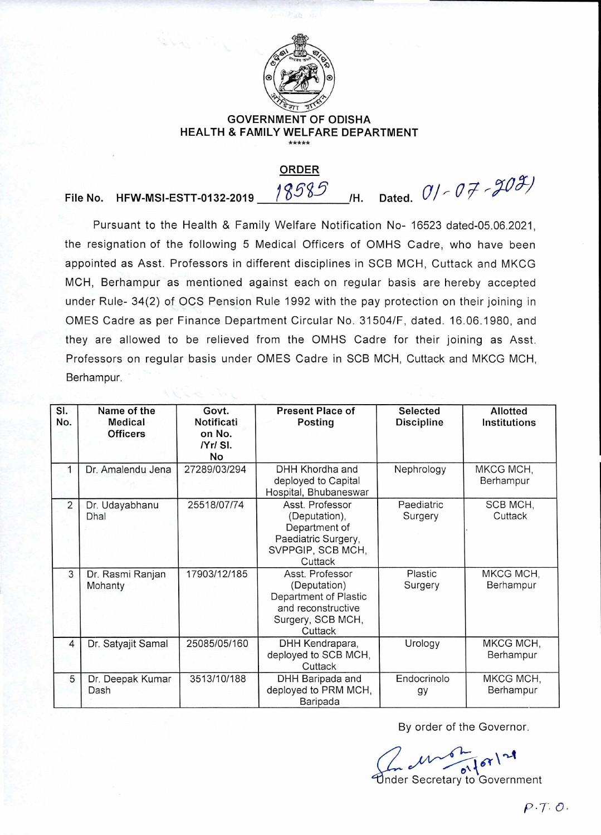

## **GOVERNMENT OF ODISHA HEALTH & FAMILY WELFARE DEPARTMENT**

**ORDER** 

File No. HFW-MSI-ESTT-0132-2019 18585 H. Dated.  $0/-07$  -  $903$ 

Pursuant to the Health & Family Welfare Notification No- 16523 dated-05.06.2021, the resignation of the following 5 Medical Officers of OMHS Cadre, who have been appointed as Asst. Professors in different disciplines in SCB MCH, Cuttack and MKCG MCH, Berhampur as mentioned against each on regular basis are hereby accepted under Rule- 34(2) of OCS Pension Rule 1992 with the pay protection on their joining in OMES Cadre as per Finance Department Circular No. 31504/F, dated. 16.06.1980, and they are allowed to be relieved from the OMHS Cadre for their joining as Asst. Professors on regular basis under OMES Cadre in SCB MCH, Cuttack and MKCG MCH, Berhampur.

| SI.<br>No.     | Name of the<br><b>Medical</b><br><b>Officers</b> | Govt.<br><b>Notificati</b><br>on No.<br>IYr/SI.<br>No | <b>Present Place of</b><br>Posting                                                                             | <b>Selected</b><br><b>Discipline</b> | Allotted<br><b>Institutions</b> |
|----------------|--------------------------------------------------|-------------------------------------------------------|----------------------------------------------------------------------------------------------------------------|--------------------------------------|---------------------------------|
|                | Dr. Amalendu Jena                                | 27289/03/294                                          | DHH Khordha and<br>deployed to Capital<br>Hospital, Bhubaneswar                                                | Nephrology                           | MKCG MCH,<br>Berhampur          |
| $\overline{2}$ | Dr. Udayabhanu<br>Dhal                           | 25518/07/74                                           | Asst. Professor<br>(Deputation),<br>Department of<br>Paediatric Surgery,<br>SVPPGIP, SCB MCH,<br>Cuttack       | Paediatric<br>Surgery                | SCB MCH,<br>Cuttack             |
| 3              | Dr. Rasmi Ranjan<br>Mohanty                      | 17903/12/185                                          | Asst. Professor<br>(Deputation)<br>Department of Plastic<br>and reconstructive<br>Surgery, SCB MCH,<br>Cuttack | Plastic<br>Surgery                   | MKCG MCH,<br>Berhampur          |
| $\overline{4}$ | Dr. Satyajit Samal                               | 25085/05/160                                          | DHH Kendrapara,<br>deployed to SCB MCH,<br>Cuttack                                                             | Urology                              | MKCG MCH,<br>Berhampur          |
| 5              | Dr. Deepak Kumar<br>Dash                         | 3513/10/188                                           | DHH Baripada and<br>deployed to PRM MCH,<br>Baripada                                                           | Endocrinolo<br>gy                    | MKCG MCH,<br>Berhampur          |

By order of the Governor.

Under Secretary to Government Endocrinolo<br>
gy Be<br>
By order of the Gov<br>
Precretary to Gov<br>
Precretary to Gov